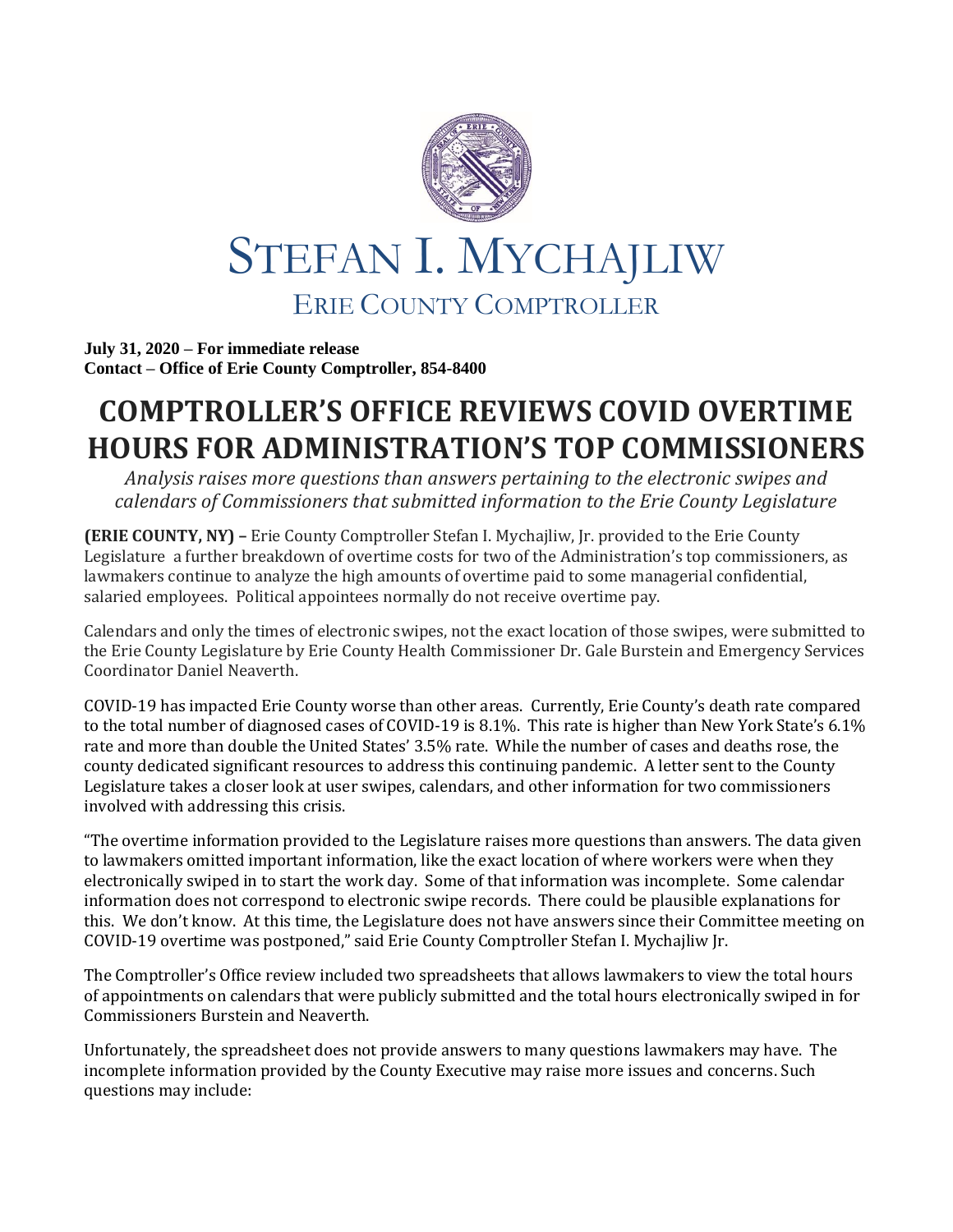

**July 31, 2020 – For immediate release Contact – Office of Erie County Comptroller, 854-8400**

## **COMPTROLLER'S OFFICE REVIEWS COVID OVERTIME HOURS FOR ADMINISTRATION'S TOP COMMISSIONERS**

*Analysis raises more questions than answers pertaining to the electronic swipes and calendars of Commissioners that submitted information to the Erie County Legislature*

**(ERIE COUNTY, NY) –** Erie County Comptroller Stefan I. Mychajliw, Jr. provided to the Erie County Legislature a further breakdown of overtime costs for two of the Administration's top commissioners, as lawmakers continue to analyze the high amounts of overtime paid to some managerial confidential, salaried employees. Political appointees normally do not receive overtime pay.

Calendars and only the times of electronic swipes, not the exact location of those swipes, were submitted to the Erie County Legislature by Erie County Health Commissioner Dr. Gale Burstein and Emergency Services Coordinator Daniel Neaverth.

COVID-19 has impacted Erie County worse than other areas. Currently, Erie County's death rate compared to the total number of diagnosed cases of COVID-19 is 8.1%. This rate is higher than New York State's 6.1% rate and more than double the United States' 3.5% rate. While the number of cases and deaths rose, the county dedicated significant resources to address this continuing pandemic. A letter sent to the County Legislature takes a closer look at user swipes, calendars, and other information for two commissioners involved with addressing this crisis.

"The overtime information provided to the Legislature raises more questions than answers. The data given to lawmakers omitted important information, like the exact location of where workers were when they electronically swiped in to start the work day. Some of that information was incomplete. Some calendar information does not correspond to electronic swipe records. There could be plausible explanations for this. We don't know. At this time, the Legislature does not have answers since their Committee meeting on COVID-19 overtime was postponed," said Erie County Comptroller Stefan I. Mychajliw Jr.

The Comptroller's Office review included two spreadsheets that allows lawmakers to view the total hours of appointments on calendars that were publicly submitted and the total hours electronically swiped in for Commissioners Burstein and Neaverth.

Unfortunately, the spreadsheet does not provide answers to many questions lawmakers may have. The incomplete information provided by the County Executive may raise more issues and concerns. Such questions may include: